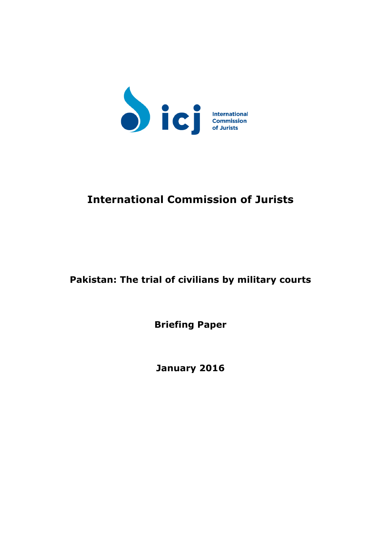

# **International Commission of Jurists**

# **Pakistan: The trial of civilians by military courts**

**Briefing Paper**

**January 2016**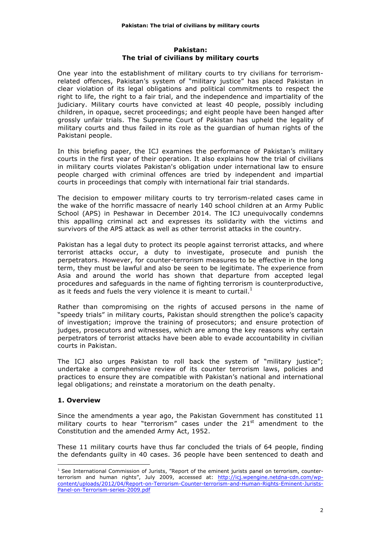#### **Pakistan: The trial of civilians by military courts**

One year into the establishment of military courts to try civilians for terrorismrelated offences, Pakistan's system of "military justice" has placed Pakistan in clear violation of its legal obligations and political commitments to respect the right to life, the right to a fair trial, and the independence and impartiality of the judiciary. Military courts have convicted at least 40 people, possibly including children, in opaque, secret proceedings; and eight people have been hanged after grossly unfair trials. The Supreme Court of Pakistan has upheld the legality of military courts and thus failed in its role as the guardian of human rights of the Pakistani people.

In this briefing paper, the ICJ examines the performance of Pakistan's military courts in the first year of their operation. It also explains how the trial of civilians in military courts violates Pakistan's obligation under international law to ensure people charged with criminal offences are tried by independent and impartial courts in proceedings that comply with international fair trial standards.

The decision to empower military courts to try terrorism-related cases came in the wake of the horrific massacre of nearly 140 school children at an Army Public School (APS) in Peshawar in December 2014. The ICJ unequivocally condemns this appalling criminal act and expresses its solidarity with the victims and survivors of the APS attack as well as other terrorist attacks in the country.

Pakistan has a legal duty to protect its people against terrorist attacks, and where terrorist attacks occur, a duty to investigate, prosecute and punish the perpetrators. However, for counter-terrorism measures to be effective in the long term, they must be lawful and also be seen to be legitimate. The experience from Asia and around the world has shown that departure from accepted legal procedures and safeguards in the name of fighting terrorism is counterproductive, as it feeds and fuels the very violence it is meant to curtail.<sup>1</sup>

Rather than compromising on the rights of accused persons in the name of "speedy trials" in military courts, Pakistan should strengthen the police's capacity of investigation; improve the training of prosecutors; and ensure protection of judges, prosecutors and witnesses, which are among the key reasons why certain perpetrators of terrorist attacks have been able to evade accountability in civilian courts in Pakistan.

The ICJ also urges Pakistan to roll back the system of "military justice"; undertake a comprehensive review of its counter terrorism laws, policies and practices to ensure they are compatible with Pakistan's national and international legal obligations; and reinstate a moratorium on the death penalty.

# **1. Overview**

 

Since the amendments a year ago, the Pakistan Government has constituted 11 military courts to hear "terrorism" cases under the  $21<sup>st</sup>$  amendment to the Constitution and the amended Army Act, 1952.

These 11 military courts have thus far concluded the trials of 64 people, finding the defendants guilty in 40 cases. 36 people have been sentenced to death and

 $<sup>1</sup>$  See International Commission of Jurists, "Report of the eminent jurists panel on terrorism, counter-</sup> terrorism and human rights", July 2009, accessed at: http://icj.wpengine.netdna-cdn.com/wpcontent/uploads/2012/04/Report-on-Terrorism-Counter-terrorism-and-Human-Rights-Eminent-Jurists-Panel-on-Terrorism-series-2009.pdf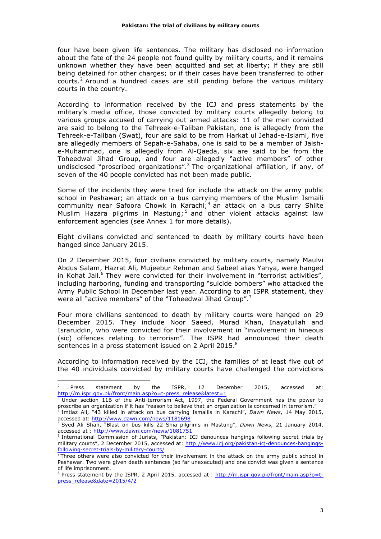four have been given life sentences. The military has disclosed no information about the fate of the 24 people not found guilty by military courts, and it remains unknown whether they have been acquitted and set at liberty; if they are still being detained for other charges; or if their cases have been transferred to other courts.<sup>2</sup> Around a hundred cases are still pending before the various military courts in the country.

According to information received by the ICJ and press statements by the military's media office, those convicted by military courts allegedly belong to various groups accused of carrying out armed attacks: 11 of the men convicted are said to belong to the Tehreek-e-Taliban Pakistan, one is allegedly from the Tehreek-e-Taliban (Swat), four are said to be from Harkat ul Jehad-e-Islami, five are allegedly members of Sepah-e-Sahaba, one is said to be a member of Jaishe-Muhammad, one is allegedly from Al-Qaeda, six are said to be from the Toheedwal Jihad Group, and four are allegedly "active members" of other undisclosed "proscribed organizations".<sup>3</sup> The organizational affiliation, if any, of seven of the 40 people convicted has not been made public.

Some of the incidents they were tried for include the attack on the army public school in Peshawar; an attack on a bus carrying members of the Muslim Ismaili community near Safoora Chowk in Karachi; $4$  an attack on a bus carry Shiite Muslim Hazara pilgrims in Mastung;<sup>5</sup> and other violent attacks against law enforcement agencies (see Annex 1 for more details).

Eight civilians convicted and sentenced to death by military courts have been hanged since January 2015.

On 2 December 2015, four civilians convicted by military courts, namely Maulvi Abdus Salam, Hazrat Ali, Mujeebur Rehman and Sabeel alias Yahya, were hanged in Kohat Jail.<sup>6</sup> They were convicted for their involvement in "terrorist activities", including harboring, funding and transporting "suicide bombers" who attacked the Army Public School in December last year. According to an ISPR statement, they were all "active members" of the "Toheedwal Jihad Group".<sup>7</sup>

Four more civilians sentenced to death by military courts were hanged on 29 December 2015. They include Noor Saeed, Murad Khan, Inayatullah and Israruddin, who were convicted for their involvement in "involvement in hineous (sic) offences relating to terrorism". The ISPR had announced their death sentences in a press statement issued on 2 April 2015.<sup>8</sup>

According to information received by the ICJ, the families of at least five out of the 40 individuals convicted by military courts have challenged the convictions

 $2$  Press statement by the ISPR, 12 December 2015, accessed at: http://m.ispr.gov.pk/front/main.asp?o=t-press\_release&latest=1

<sup>3</sup> Under section 11B of the Anti-terrorism Act, 1997, the Federal Government has the power to proscribe an organization if it has "reason to believe that an organization is concerned in terrorism."<br>"I Intiaz Ali, "42 Uillad in terrorism." <sup>4</sup> Imtiaz Ali, "43 killed in attack on bus carrying Ismailis in Karachi", *Dawn News*, 14 May 2015,

accessed at: http://www.dawn.com/news/1181698 <sup>5</sup> Syed Ali Shah, "Blast on bus kills 22 Shia pilgrims in Mastung", *Dawn News*, 21 January 2014, accessed at : http://www.dawn.com/news/1081751

<sup>6</sup> International Commission of Jurists, "Pakistan: ICJ denounces hangings following secret trials by military courts", 2 December 2015, accessed at: http://www.icj.org/pakistan-icj-denounces-hangingsfollowing-secret-trials-by-military-courts/

<sup>7</sup> Three others were also convicted for their involvement in the attack on the army public school in Peshawar. Two were given death sentences (so far unexecuted) and one convict was given a sentence of life imprisonment.

 $8$  Press statement by the ISPR, 2 April 2015, accessed at : http://m.ispr.gov.pk/front/main.asp?o=tpress\_release&date=2015/4/2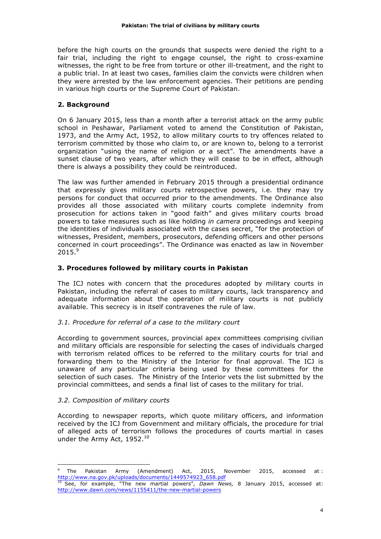before the high courts on the grounds that suspects were denied the right to a fair trial, including the right to engage counsel, the right to cross-examine witnesses, the right to be free from torture or other ill-treatment, and the right to a public trial. In at least two cases, families claim the convicts were children when they were arrested by the law enforcement agencies. Their petitions are pending in various high courts or the Supreme Court of Pakistan.

# **2. Background**

On 6 January 2015, less than a month after a terrorist attack on the army public school in Peshawar, Parliament voted to amend the Constitution of Pakistan, 1973, and the Army Act, 1952, to allow military courts to try offences related to terrorism committed by those who claim to, or are known to, belong to a terrorist organization "using the name of religion or a sect". The amendments have a sunset clause of two years, after which they will cease to be in effect, although there is always a possibility they could be reintroduced.

The law was further amended in February 2015 through a presidential ordinance that expressly gives military courts retrospective powers, i.e. they may try persons for conduct that occurred prior to the amendments. The Ordinance also provides all those associated with military courts complete indemnity from prosecution for actions taken in "good faith" and gives military courts broad powers to take measures such as like holding *in camera* proceedings and keeping the identities of individuals associated with the cases secret, "for the protection of witnesses, President, members, prosecutors, defending officers and other persons concerned in court proceedings". The Ordinance was enacted as law in November  $2015.<sup>9</sup>$ 

# **3. Procedures followed by military courts in Pakistan**

The ICJ notes with concern that the procedures adopted by military courts in Pakistan, including the referral of cases to military courts, lack transparency and adequate information about the operation of military courts is not publicly available. This secrecy is in itself contravenes the rule of law.

# *3.1. Procedure for referral of a case to the military court*

According to government sources, provincial apex committees comprising civilian and military officials are responsible for selecting the cases of individuals charged with terrorism related offices to be referred to the military courts for trial and forwarding them to the Ministry of the Interior for final approval. The ICJ is unaware of any particular criteria being used by these committees for the selection of such cases. The Ministry of the Interior vets the list submitted by the provincial committees, and sends a final list of cases to the military for trial.

# *3.2. Composition of military courts*

According to newspaper reports, which quote military officers, and information received by the ICJ from Government and military officials, the procedure for trial of alleged acts of terrorism follows the procedures of courts martial in cases under the Army Act, 1952.<sup>10</sup>

 <sup>9</sup> The Pakistan Army (Amendment) Act, 2015, November 2015, accessed at : http://www.na.gov.pk/uploads/documents/1449574923\_658.pdf

<sup>&</sup>lt;sup>10</sup> See, for example, "The new martial powers", Dawn News, 8 January 2015, accessed at: http://www.dawn.com/news/1155411/the-new-martial-powers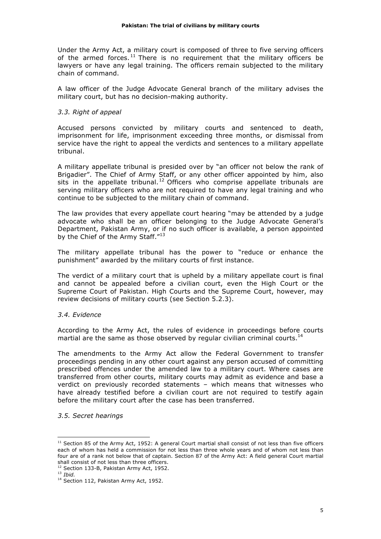Under the Army Act, a military court is composed of three to five serving officers of the armed forces.<sup>11</sup> There is no requirement that the military officers be lawyers or have any legal training. The officers remain subjected to the military chain of command.

A law officer of the Judge Advocate General branch of the military advises the military court, but has no decision-making authority.

### *3.3. Right of appeal*

Accused persons convicted by military courts and sentenced to death, imprisonment for life, imprisonment exceeding three months, or dismissal from service have the right to appeal the verdicts and sentences to a military appellate tribunal.

A military appellate tribunal is presided over by "an officer not below the rank of Brigadier". The Chief of Army Staff, or any other officer appointed by him, also sits in the appellate tribunal.<sup>12</sup> Officers who comprise appellate tribunals are serving military officers who are not required to have any legal training and who continue to be subjected to the military chain of command.

The law provides that every appellate court hearing "may be attended by a judge advocate who shall be an officer belonging to the Judge Advocate General's Department, Pakistan Army, or if no such officer is available, a person appointed by the Chief of the Army Staff."13

The military appellate tribunal has the power to "reduce or enhance the punishment" awarded by the military courts of first instance.

The verdict of a military court that is upheld by a military appellate court is final and cannot be appealed before a civilian court, even the High Court or the Supreme Court of Pakistan. High Courts and the Supreme Court, however, may review decisions of military courts (see Section 5.2.3).

*3.4. Evidence*

According to the Army Act, the rules of evidence in proceedings before courts martial are the same as those observed by regular civilian criminal courts.<sup>14</sup>

The amendments to the Army Act allow the Federal Government to transfer proceedings pending in any other court against any person accused of committing prescribed offences under the amended law to a military court. Where cases are transferred from other courts, military courts may admit as evidence and base a verdict on previously recorded statements – which means that witnesses who have already testified before a civilian court are not required to testify again before the military court after the case has been transferred.

*3.5. Secret hearings*

 $11$  Section 85 of the Army Act, 1952: A general Court martial shall consist of not less than five officers each of whom has held a commission for not less than three whole years and of whom not less than four are of a rank not below that of captain. Section 87 of the Army Act: A field general Court martial shall consist of not less than three officers.

<sup>&</sup>lt;sup>12</sup> Section 133-B, Pakistan Army Act, 1952.

<sup>13</sup> *Ibid.*

<sup>&</sup>lt;sup>14</sup> Section 112, Pakistan Army Act, 1952.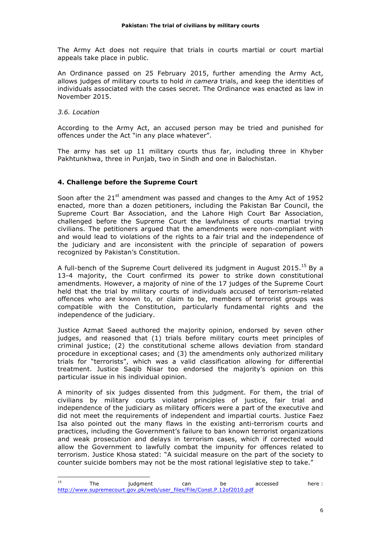The Army Act does not require that trials in courts martial or court martial appeals take place in public.

An Ordinance passed on 25 February 2015, further amending the Army Act, allows judges of military courts to hold *in camera* trials, and keep the identities of individuals associated with the cases secret. The Ordinance was enacted as law in November 2015.

*3.6. Location*

According to the Army Act, an accused person may be tried and punished for offences under the Act "in any place whatever".

The army has set up 11 military courts thus far, including three in Khyber Pakhtunkhwa, three in Punjab, two in Sindh and one in Balochistan.

### **4. Challenge before the Supreme Court**

 

Soon after the  $21^{st}$  amendment was passed and changes to the Amy Act of 1952 enacted, more than a dozen petitioners, including the Pakistan Bar Council, the Supreme Court Bar Association, and the Lahore High Court Bar Association, challenged before the Supreme Court the lawfulness of courts martial trying civilians. The petitioners argued that the amendments were non-compliant with and would lead to violations of the rights to a fair trial and the independence of the judiciary and are inconsistent with the principle of separation of powers recognized by Pakistan's Constitution.

A full-bench of the Supreme Court delivered its judgment in August 2015.<sup>15</sup> By a 13-4 majority, the Court confirmed its power to strike down constitutional amendments. However, a majority of nine of the 17 judges of the Supreme Court held that the trial by military courts of individuals accused of terrorism-related offences who are known to, or claim to be, members of terrorist groups was compatible with the Constitution, particularly fundamental rights and the independence of the judiciary.

Justice Azmat Saeed authored the majority opinion, endorsed by seven other judges, and reasoned that (1) trials before military courts meet principles of criminal justice; (2) the constitutional scheme allows deviation from standard procedure in exceptional cases; and (3) the amendments only authorized military trials for "terrorists", which was a valid classification allowing for differential treatment. Justice Saqib Nisar too endorsed the majority's opinion on this particular issue in his individual opinion.

A minority of six judges dissented from this judgment. For them, the trial of civilians by military courts violated principles of justice, fair trial and independence of the judiciary as military officers were a part of the executive and did not meet the requirements of independent and impartial courts. Justice Faez Isa also pointed out the many flaws in the existing anti-terrorism courts and practices, including the Government's failure to ban known terrorist organizations and weak prosecution and delays in terrorism cases, which if corrected would allow the Government to lawfully combat the impunity for offences related to terrorism. Justice Khosa stated: "A suicidal measure on the part of the society to counter suicide bombers may not be the most rational legislative step to take."

<sup>&</sup>lt;sup>15</sup> The judgment can be accessed here : http://www.supremecourt.gov.pk/web/user\_files/File/Const.P.12of2010.pdf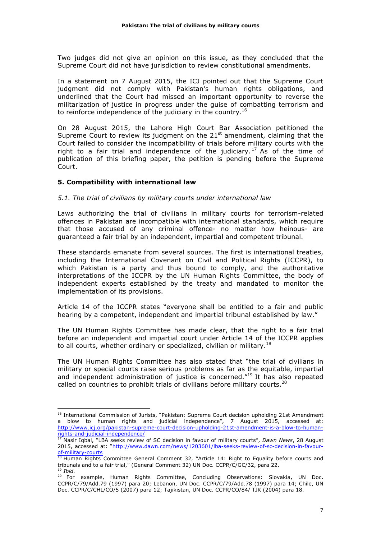Two judges did not give an opinion on this issue, as they concluded that the Supreme Court did not have jurisdiction to review constitutional amendments.

In a statement on 7 August 2015, the ICJ pointed out that the Supreme Court judgment did not comply with Pakistan's human rights obligations, and underlined that the Court had missed an important opportunity to reverse the militarization of justice in progress under the guise of combatting terrorism and to reinforce independence of the judiciary in the country.<sup>16</sup>

On 28 August 2015, the Lahore High Court Bar Association petitioned the Supreme Court to review its judgment on the  $21<sup>st</sup>$  amendment, claiming that the Court failed to consider the incompatibility of trials before military courts with the right to a fair trial and independence of the judiciary.<sup>17</sup> As of the time of publication of this briefing paper, the petition is pending before the Supreme Court.

### **5. Compatibility with international law**

 

#### *5.1. The trial of civilians by military courts under international law*

Laws authorizing the trial of civilians in military courts for terrorism-related offences in Pakistan are incompatible with international standards, which require that those accused of any criminal offence- no matter how heinous- are guaranteed a fair trial by an independent, impartial and competent tribunal.

These standards emanate from several sources. The first is international treaties, including the International Covenant on Civil and Political Rights (ICCPR), to which Pakistan is a party and thus bound to comply, and the authoritative interpretations of the ICCPR by the UN Human Rights Committee, the body of independent experts established by the treaty and mandated to monitor the implementation of its provisions.

Article 14 of the ICCPR states "everyone shall be entitled to a fair and public hearing by a competent, independent and impartial tribunal established by law."

The UN Human Rights Committee has made clear, that the right to a fair trial before an independent and impartial court under Article 14 of the ICCPR applies to all courts, whether ordinary or specialized, civilian or military.<sup>18</sup>

The UN Human Rights Committee has also stated that "the trial of civilians in military or special courts raise serious problems as far as the equitable, impartial and independent administration of justice is concerned."<sup>19</sup> It has also repeated called on countries to prohibit trials of civilians before military courts.<sup>20</sup>

<sup>&</sup>lt;sup>16</sup> International Commission of Jurists, "Pakistan: Supreme Court decision upholding 21st Amendment a blow to human rights and judicial independence", 7 August 2015, accessed at: http://www.icj.org/pakistan-supreme-court-decision-upholding-21st-amendment-is-a-blow-to-humanrights-and-judicial-independence/

<sup>17</sup> Nasir Iqbal, "LBA seeks review of SC decision in favour of military courts", *Dawn News*, 28 August 2015, accessed at: "http://www.dawn.com/news/1203601/lba-seeks-review-of-sc-decision-in-favourof-military-courts

 $18$  Human Rights Committee General Comment 32, "Article 14: Right to Equality before courts and tribunals and to a fair trial," (General Comment 32) UN Doc. CCPR/C/GC/32, para 22. <sup>19</sup> *Ibid.*

<sup>20</sup> For example, Human Rights Committee, Concluding Observations: Slovakia, UN Doc. CCPR/C/79/Add.79 (1997) para 20; Lebanon, UN Doc. CCPR/C/79/Add.78 (1997) para 14; Chile, UN Doc. CCPR/C/CHL/CO/5 (2007) para 12; Tajikistan, UN Doc. CCPR/CO/84/ TJK (2004) para 18.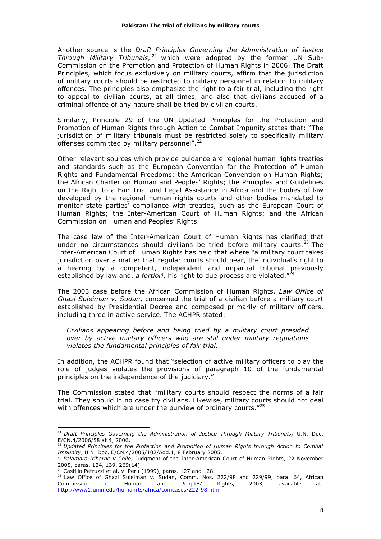Another source is the *Draft Principles Governing the Administration of Justice Through Military Tribunals,* <sup>21</sup> which were adopted by the former UN Sub-Commission on the Promotion and Protection of Human Rights in 2006. The Draft Principles, which focus exclusively on military courts, affirm that the jurisdiction of military courts should be restricted to military personnel in relation to military offences. The principles also emphasize the right to a fair trial, including the right to appeal to civilian courts, at all times, and also that civilians accused of a criminal offence of any nature shall be tried by civilian courts.

Similarly, Principle 29 of the UN Updated Principles for the Protection and Promotion of Human Rights through Action to Combat Impunity states that: "The jurisdiction of military tribunals must be restricted solely to specifically military offenses committed by military personnel".<sup>22</sup>

Other relevant sources which provide guidance are regional human rights treaties and standards such as the European Convention for the Protection of Human Rights and Fundamental Freedoms; the American Convention on Human Rights; the African Charter on Human and Peoples' Rights; the Principles and Guidelines on the Right to a Fair Trial and Legal Assistance in Africa and the bodies of law developed by the regional human rights courts and other bodies mandated to monitor state parties' compliance with treaties, such as the European Court of Human Rights; the Inter-American Court of Human Rights; and the African Commission on Human and Peoples' Rights.

The case law of the Inter-American Court of Human Rights has clarified that under no circumstances should civilians be tried before military courts.<sup>23</sup> The Inter-American Court of Human Rights has held that where "a military court takes jurisdiction over a matter that regular courts should hear, the individual's right to a hearing by a competent, independent and impartial tribunal previously established by law and, *a fortiori*, his right to due process are violated."<sup>24</sup>

The 2003 case before the African Commission of Human Rights, *Law Office of Ghazi Suleiman v. Sudan*, concerned the trial of a civilian before a military court established by Presidential Decree and composed primarily of military officers, including three in active service. The ACHPR stated:

*Civilians appearing before and being tried by a military court presided over by active military officers who are still under military regulations violates the fundamental principles of fair trial.*

In addition, the ACHPR found that "selection of active military officers to play the role of judges violates the provisions of paragraph 10 of the fundamental principles on the independence of the judiciary."

The Commission stated that "military courts should respect the norms of a fair trial. They should in no case try civilians. Likewise, military courts should not deal with offences which are under the purview of ordinary courts. $"^{25}$ 

<sup>21</sup> *Draft Principles Governing the Administration of Justice Through Military Tribunals***,** U.N. Doc. E/CN.4/2006/58 at 4, 2006.

<sup>22</sup> *Updated Principles for the Protection and Promotion of Human Rights through Action to Combat Impunity*, U.N. Doc. E/CN.4/2005/102/Add.1, 8 February 2005.

<sup>&</sup>lt;sup>23</sup> Palamara-Iribarne v Chile, Judgment of the Inter-American Court of Human Rights, 22 November 2005, paras. 124, 139, 269(14).

<sup>&</sup>lt;sup>24</sup> Castillo Petruzzi et al. v. Peru (1999), paras. 127 and 128.

<sup>&</sup>lt;sup>25</sup> Law Office of Ghazi Suleiman v. Sudan, Comm. Nos. 222/98 and 229/99, para. 64, African Commission on Human and Peoples' Rights, 2003, available at: http://www1.umn.edu/humanrts/africa/comcases/222-98.html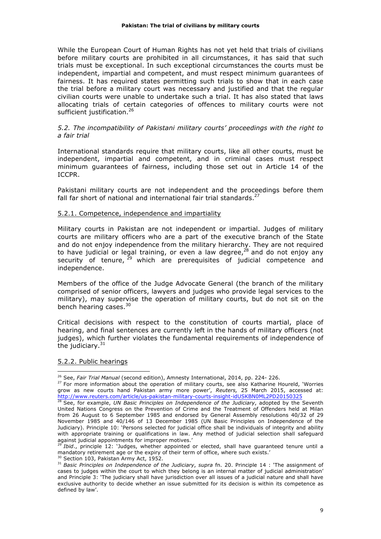While the European Court of Human Rights has not yet held that trials of civilians before military courts are prohibited in all circumstances, it has said that such trials must be exceptional. In such exceptional circumstances the courts must be independent, impartial and competent, and must respect minimum guarantees of fairness. It has required states permitting such trials to show that in each case the trial before a military court was necessary and justified and that the regular civilian courts were unable to undertake such a trial. It has also stated that laws allocating trials of certain categories of offences to military courts were not sufficient justification.<sup>26</sup>

#### *5.2. The incompatibility of Pakistani military courts' proceedings with the right to a fair trial*

International standards require that military courts, like all other courts, must be independent, impartial and competent, and in criminal cases must respect minimum guarantees of fairness, including those set out in Article 14 of the ICCPR.

Pakistani military courts are not independent and the proceedings before them fall far short of national and international fair trial standards.<sup>27</sup>

#### 5.2.1. Competence, independence and impartiality

Military courts in Pakistan are not independent or impartial. Judges of military courts are military officers who are a part of the executive branch of the State and do not enjoy independence from the military hierarchy. They are not required to have judicial or legal training, or even a law degree, $^{28}$  and do not enjoy any security of tenure,  $29$  which are prerequisites of judicial competence and independence.

Members of the office of the Judge Advocate General (the branch of the military comprised of senior officers, lawyers and judges who provide legal services to the military), may supervise the operation of military courts, but do not sit on the bench hearing cases.<sup>30</sup>

Critical decisions with respect to the constitution of courts martial, place of hearing, and final sentences are currently left in the hands of military officers (not judges), which further violates the fundamental requirements of independence of the judiciary. $31$ 

#### 5.2.2. Public hearings

 <sup>26</sup> See, *Fair Trial Manual* (second edition), Amnesty International, 2014, pp. 224- 226.

<sup>&</sup>lt;sup>27</sup> For more information about the operation of military courts, see also Katharine Houreld, 'Worries grow as new courts hand Pakistan army more power', *Reuters,* 25 March 2015, accessed at: http://www.reuters.com/article/us-pakistan-military-courts-insight-idUSKBN0ML2PD20150325

<sup>28</sup> See, for example, *UN Basic Principles on Independence of the Judiciary*, adopted by the Seventh United Nations Congress on the Prevention of Crime and the Treatment of Offenders held at Milan from 26 August to 6 September 1985 and endorsed by General Assembly resolutions 40/32 of 29 November 1985 and 40/146 of 13 December 1985 (UN Basic Principles on Independence of the Judiciary). Principle 10: 'Persons selected for judicial office shall be individuals of integrity and ability with appropriate training or qualifications in law. Any method of judicial selection shall safeguard against judicial appointments for improper motives.'

*Ibid.*, principle 12: 'Judges, whether appointed or elected, shall have guaranteed tenure until a mandatory retirement age or the expiry of their term of office, where such exists.'

<sup>&</sup>lt;sup>30</sup> Section 103, Pakistan Army Act, 1952.

<sup>31</sup> *Basic Principles on Independence of the Judiciary*, *supra* fn. 20. Principle 14 : 'The assignment of cases to judges within the court to which they belong is an internal matter of judicial administration' and Principle 3: 'The judiciary shall have jurisdiction over all issues of a judicial nature and shall have exclusive authority to decide whether an issue submitted for its decision is within its competence as defined by law'.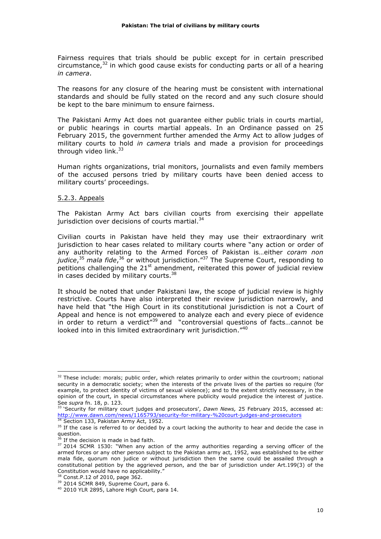Fairness requires that trials should be public except for in certain prescribed circumstance, $32$  in which good cause exists for conducting parts or all of a hearing *in camera*.

The reasons for any closure of the hearing must be consistent with international standards and should be fully stated on the record and any such closure should be kept to the bare minimum to ensure fairness.

The Pakistani Army Act does not guarantee either public trials in courts martial, or public hearings in courts martial appeals. In an Ordinance passed on 25 February 2015, the government further amended the Army Act to allow judges of military courts to hold *in camera* trials and made a provision for proceedings through video link.<sup>33</sup>

Human rights organizations, trial monitors, journalists and even family members of the accused persons tried by military courts have been denied access to military courts' proceedings.

#### 5.2.3. Appeals

The Pakistan Army Act bars civilian courts from exercising their appellate jurisdiction over decisions of courts martial. $34$ 

Civilian courts in Pakistan have held they may use their extraordinary writ jurisdiction to hear cases related to military courts where "any action or order of any authority relating to the Armed Forces of Pakistan is…either *coram non*  judice,<sup>35</sup> mala fide,<sup>36</sup> or without jurisdiction."<sup>37</sup> The Supreme Court, responding to petitions challenging the  $21<sup>st</sup>$  amendment, reiterated this power of judicial review in cases decided by military courts.<sup>38</sup>

It should be noted that under Pakistani law, the scope of judicial review is highly restrictive. Courts have also interpreted their review jurisdiction narrowly, and have held that "the High Court in its constitutional jurisdiction is not a Court of Appeal and hence is not empowered to analyze each and every piece of evidence in order to return a verdict<sup>"39</sup> and "controversial questions of facts...cannot be looked into in this limited extraordinary writ jurisdiction."40

 $32$  These include: morals; public order, which relates primarily to order within the courtroom; national security in a democratic society; when the interests of the private lives of the parties so require (for example, to protect identity of victims of sexual violence); and to the extent strictly necessary, in the opinion of the court, in special circumstances where publicity would prejudice the interest of justice. See *supra* fn. 18, p. 123.

<sup>33</sup> 'Security for military court judges and prosecutors', *Dawn News,* 25 February 2015, accessed at: http://www.dawn.com/news/1165793/security-for-military-%20court-judges-and-prosecutors Section 133, Pakistan Army Act, 1952.

<sup>&</sup>lt;sup>35</sup> If the case is referred to or decided by a court lacking the authority to hear and decide the case in question.

If the decision is made in bad faith.

<sup>&</sup>lt;sup>37</sup> 2014 SCMR 1530: "When any action of the army authorities regarding a serving officer of the armed forces or any other person subject to the Pakistan army act, 1952, was established to be either mala fide, quorum non judice or without jurisdiction then the same could be assailed through a constitutional petition by the aggrieved person, and the bar of jurisdiction under Art.199(3) of the Constitution would have no applicability."

<sup>&</sup>lt;sup>38</sup> Const.P.12 of 2010, page 362.

<sup>&</sup>lt;sup>39</sup> 2014 SCMR 849, Supreme Court, para 6.

<sup>40</sup> 2010 YLR 2895, Lahore High Court, para 14.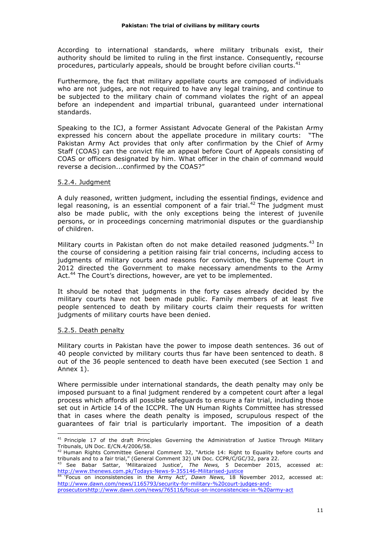According to international standards, where military tribunals exist, their authority should be limited to ruling in the first instance. Consequently, recourse procedures, particularly appeals, should be brought before civilian courts.<sup>41</sup>

Furthermore, the fact that military appellate courts are composed of individuals who are not judges, are not required to have any legal training, and continue to be subjected to the military chain of command violates the right of an appeal before an independent and impartial tribunal, guaranteed under international standards.

Speaking to the ICJ, a former Assistant Advocate General of the Pakistan Army expressed his concern about the appellate procedure in military courts: "The Pakistan Army Act provides that only after confirmation by the Chief of Army Staff (COAS) can the convict file an appeal before Court of Appeals consisting of COAS or officers designated by him. What officer in the chain of command would reverse a decision...confirmed by the COAS?"

#### 5.2.4. Judgment

A duly reasoned, written judgment, including the essential findings, evidence and legal reasoning, is an essential component of a fair trial.<sup>42</sup> The judgment must also be made public, with the only exceptions being the interest of juvenile persons, or in proceedings concerning matrimonial disputes or the guardianship of children.

Military courts in Pakistan often do not make detailed reasoned judgments.<sup>43</sup> In the course of considering a petition raising fair trial concerns, including access to judgments of military courts and reasons for conviction, the Supreme Court in 2012 directed the Government to make necessary amendments to the Army Act.<sup>44</sup> The Court's directions, however, are yet to be implemented.

It should be noted that judgments in the forty cases already decided by the military courts have not been made public. Family members of at least five people sentenced to death by military courts claim their requests for written judgments of military courts have been denied.

# 5.2.5. Death penalty

Military courts in Pakistan have the power to impose death sentences. 36 out of 40 people convicted by military courts thus far have been sentenced to death. 8 out of the 36 people sentenced to death have been executed (see Section 1 and Annex 1).

Where permissible under international standards, the death penalty may only be imposed pursuant to a final judgment rendered by a competent court after a legal process which affords all possible safeguards to ensure a fair trial, including those set out in Article 14 of the ICCPR. The UN Human Rights Committee has stressed that in cases where the death penalty is imposed, scrupulous respect of the guarantees of fair trial is particularly important. The imposition of a death

 <sup>41</sup> Principle 17 of the draft Principles Governing the Administration of Justice Through Military Tribunals, UN Doc. E/CN.4/2006/58.

<sup>42</sup> Human Rights Committee General Comment 32, "Article 14: Right to Equality before courts and tribunals and to a fair trial," (General Comment 32) UN Doc. CCPR/C/GC/32, para 22.

<sup>43</sup> See Babar Sattar, 'Militaraized Justice', *The News,* 5 December 2015, accessed at: http://www.thenews.com.pk/Todays-News-9-355146-Militarised-justice

<sup>44</sup> 'Focus on inconsistencies in the Army Act', *Dawn News,* 18 November 2012, accessed at: http://www.dawn.com/news/1165793/security-for-military-%20court-judges-and-

prosecutorshttp://www.dawn.com/news/765116/focus-on-inconsistencies-in-%20army-act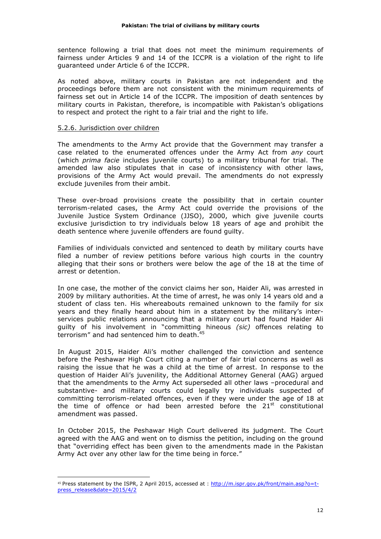sentence following a trial that does not meet the minimum requirements of fairness under Articles 9 and 14 of the ICCPR is a violation of the right to life guaranteed under Article 6 of the ICCPR.

As noted above, military courts in Pakistan are not independent and the proceedings before them are not consistent with the minimum requirements of fairness set out in Article 14 of the ICCPR. The imposition of death sentences by military courts in Pakistan, therefore, is incompatible with Pakistan's obligations to respect and protect the right to a fair trial and the right to life.

#### 5.2.6. Jurisdiction over children

 

The amendments to the Army Act provide that the Government may transfer a case related to the enumerated offences under the Army Act from *any* court (which *prima facie* includes juvenile courts) to a military tribunal for trial. The amended law also stipulates that in case of inconsistency with other laws, provisions of the Army Act would prevail. The amendments do not expressly exclude juveniles from their ambit.

These over-broad provisions create the possibility that in certain counter terrorism-related cases, the Army Act could override the provisions of the Juvenile Justice System Ordinance (JJSO), 2000, which give juvenile courts exclusive jurisdiction to try individuals below 18 years of age and prohibit the death sentence where juvenile offenders are found guilty.

Families of individuals convicted and sentenced to death by military courts have filed a number of review petitions before various high courts in the country alleging that their sons or brothers were below the age of the 18 at the time of arrest or detention.

In one case, the mother of the convict claims her son, Haider Ali, was arrested in 2009 by military authorities. At the time of arrest, he was only 14 years old and a student of class ten. His whereabouts remained unknown to the family for six years and they finally heard about him in a statement by the military's interservices public relations announcing that a military court had found Haider Ali guilty of his involvement in "committing hineous *(sic)* offences relating to terrorism" and had sentenced him to death.<sup>45</sup>

In August 2015, Haider Ali's mother challenged the conviction and sentence before the Peshawar High Court citing a number of fair trial concerns as well as raising the issue that he was a child at the time of arrest. In response to the question of Haider Ali's juvenility, the Additional Attorney General (AAG) argued that the amendments to the Army Act superseded all other laws –procedural and substantive- and military courts could legally try individuals suspected of committing terrorism-related offences, even if they were under the age of 18 at the time of offence or had been arrested before the  $21<sup>st</sup>$  constitutional amendment was passed.

In October 2015, the Peshawar High Court delivered its judgment. The Court agreed with the AAG and went on to dismiss the petition, including on the ground that "overriding effect has been given to the amendments made in the Pakistan Army Act over any other law for the time being in force."

<sup>45</sup> Press statement by the ISPR, 2 April 2015, accessed at : http://m.ispr.gov.pk/front/main.asp?o=tpress\_release&date=2015/4/2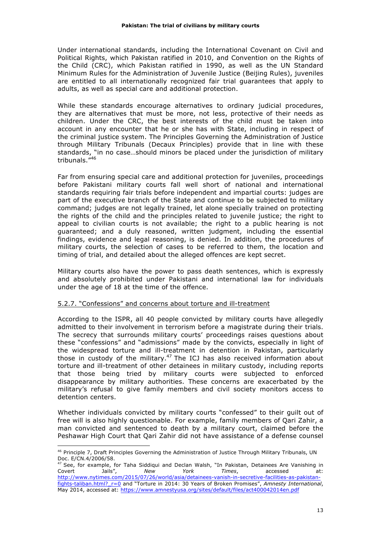Under international standards, including the International Covenant on Civil and Political Rights, which Pakistan ratified in 2010, and Convention on the Rights of the Child (CRC), which Pakistan ratified in 1990, as well as the UN Standard Minimum Rules for the Administration of Juvenile Justice (Beijing Rules), juveniles are entitled to all internationally recognized fair trial guarantees that apply to adults, as well as special care and additional protection.

While these standards encourage alternatives to ordinary judicial procedures, they are alternatives that must be more, not less, protective of their needs as children. Under the CRC, the best interests of the child must be taken into account in any encounter that he or she has with State, including in respect of the criminal justice system. The Principles Governing the Administration of Justice through Military Tribunals (Decaux Principles) provide that in line with these standards, "in no case…should minors be placed under the jurisdiction of military tribunals."<sup>46</sup>

Far from ensuring special care and additional protection for juveniles, proceedings before Pakistani military courts fall well short of national and international standards requiring fair trials before independent and impartial courts: judges are part of the executive branch of the State and continue to be subjected to military command; judges are not legally trained, let alone specially trained on protecting the rights of the child and the principles related to juvenile justice; the right to appeal to civilian courts is not available; the right to a public hearing is not guaranteed; and a duly reasoned, written judgment, including the essential findings, evidence and legal reasoning, is denied. In addition, the procedures of military courts, the selection of cases to be referred to them, the location and timing of trial, and detailed about the alleged offences are kept secret.

Military courts also have the power to pass death sentences, which is expressly and absolutely prohibited under Pakistani and international law for individuals under the age of 18 at the time of the offence.

# 5.2.7. "Confessions" and concerns about torture and ill-treatment

According to the ISPR, all 40 people convicted by military courts have allegedly admitted to their involvement in terrorism before a magistrate during their trials. The secrecy that surrounds military courts' proceedings raises questions about these "confessions" and "admissions" made by the convicts, especially in light of the widespread torture and ill-treatment in detention in Pakistan, particularly those in custody of the military. $47$  The ICJ has also received information about torture and ill-treatment of other detainees in military custody, including reports that those being tried by military courts were subjected to enforced disappearance by military authorities. These concerns are exacerbated by the military's refusal to give family members and civil society monitors access to detention centers.

Whether individuals convicted by military courts "confessed" to their guilt out of free will is also highly questionable. For example, family members of Qari Zahir, a man convicted and sentenced to death by a military court, claimed before the Peshawar High Court that Qari Zahir did not have assistance of a defense counsel

 <sup>46</sup> Principle 7, Draft Principles Governing the Administration of Justice Through Military Tribunals, UN Doc. E/CN.4/2006/58.

<sup>&</sup>lt;sup>47</sup> See, for example, for Taha Siddiqui and Declan Walsh, "In Pakistan, Detainees Are Vanishing in<br>Covert datis", New York Times, accessed at: Covert Jails", *New York Times*, accessed at: http://www.nytimes.com/2015/07/26/world/asia/detainees-vanish-in-secretive-facilities-as-pakistanfights-taliban.html?\_r=0 and "Torture in 2014: 30 Years of Broken Promises", *Amnesty International*, May 2014, accessed at: https://www.amnestyusa.org/sites/default/files/act400042014en.pdf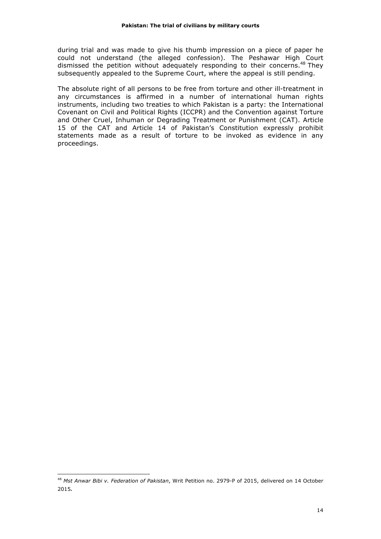during trial and was made to give his thumb impression on a piece of paper he could not understand (the alleged confession). The Peshawar High Court dismissed the petition without adequately responding to their concerns.<sup>48</sup> They subsequently appealed to the Supreme Court, where the appeal is still pending.

The absolute right of all persons to be free from torture and other ill-treatment in any circumstances is affirmed in a number of international human rights instruments, including two treaties to which Pakistan is a party: the International Covenant on Civil and Political Rights (ICCPR) and the Convention against Torture and Other Cruel, Inhuman or Degrading Treatment or Punishment (CAT). Article 15 of the CAT and Article 14 of Pakistan's Constitution expressly prohibit statements made as a result of torture to be invoked as evidence in any proceedings.

<sup>48</sup> *Mst Anwar Bibi v. Federation of Pakistan*, Writ Petition no. 2979-P of 2015, delivered on 14 October 2015.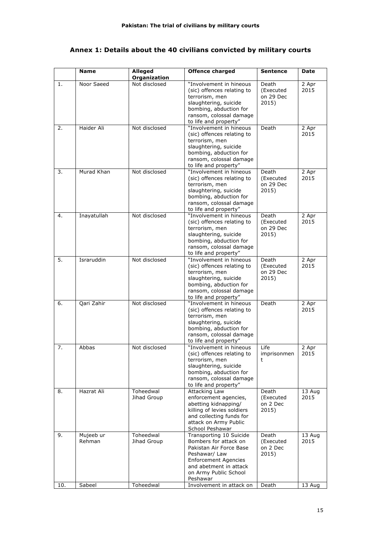# **Annex 1: Details about the 40 civilians convicted by military courts**

|     | <b>Name</b>         | Alleged<br>Organization  | <b>Offence charged</b>                                                                                                                                                                     | <b>Sentence</b>                          | Date           |
|-----|---------------------|--------------------------|--------------------------------------------------------------------------------------------------------------------------------------------------------------------------------------------|------------------------------------------|----------------|
| 1.  | Noor Saeed          | Not disclosed            | "Involvement in hineous<br>(sic) offences relating to<br>terrorism, men<br>slaughtering, suicide<br>bombing, abduction for<br>ransom, colossal damage<br>to life and property"             | Death<br>(Executed<br>on 29 Dec<br>2015) | 2 Apr<br>2015  |
| 2.  | Haider Ali          | Not disclosed            | "Involvement in hineous<br>(sic) offences relating to<br>terrorism, men<br>slaughtering, suicide<br>bombing, abduction for<br>ransom, colossal damage<br>to life and property"             | Death                                    | 2 Apr<br>2015  |
| 3.  | Murad Khan          | Not disclosed            | "Involvement in hineous<br>(sic) offences relating to<br>terrorism, men<br>slaughtering, suicide<br>bombing, abduction for<br>ransom, colossal damage<br>to life and property"             | Death<br>(Executed<br>on 29 Dec<br>2015) | 2 Apr<br>2015  |
| 4.  | Inayatullah         | Not disclosed            | "Involvement in hineous<br>(sic) offences relating to<br>terrorism, men<br>slaughtering, suicide<br>bombing, abduction for<br>ransom, colossal damage<br>to life and property"             | Death<br>(Executed<br>on 29 Dec<br>2015) | 2 Apr<br>2015  |
| 5.  | Israruddin          | Not disclosed            | "Involvement in hineous<br>(sic) offences relating to<br>terrorism, men<br>slaughtering, suicide<br>bombing, abduction for<br>ransom, colossal damage<br>to life and property"             | Death<br>(Executed<br>on 29 Dec<br>2015) | 2 Apr<br>2015  |
| 6.  | Qari Zahir          | Not disclosed            | "Involvement in hineous<br>(sic) offences relating to<br>terrorism, men<br>slaughtering, suicide<br>bombing, abduction for<br>ransom, colossal damage<br>to life and property"             | Death                                    | 2 Apr<br>2015  |
| 7.  | Abbas               | Not disclosed            | "Involvement in hineous<br>(sic) offences relating to<br>terrorism, men<br>slaughtering, suicide<br>bombing, abduction for<br>ransom, colossal damage<br>to life and property"             | Life<br>imprisonmen<br>t                 | 2 Apr<br>2015  |
| 8.  | Hazrat Ali          | Toheedwal<br>Jihad Group | Attacking Law<br>enforcement agencies,<br>abetting kidnapping/<br>killing of levies soldiers<br>and collecting funds for<br>attack on Army Public<br>School Peshawar                       | Death<br>(Executed<br>on 2 Dec<br>2015)  | 13 Aug<br>2015 |
| 9.  | Mujeeb ur<br>Rehman | Toheedwal<br>Jihad Group | Transporting 10 Suicide<br>Bombers for attack on<br>Pakistan Air Force Base<br>Peshawar/ Law<br><b>Enforcement Agencies</b><br>and abetment in attack<br>on Army Public School<br>Peshawar | Death<br>(Executed<br>on 2 Dec<br>2015)  | 13 Aug<br>2015 |
| 10. | Sabeel              | Toheedwal                | Involvement in attack on                                                                                                                                                                   | Death                                    | 13 Aug         |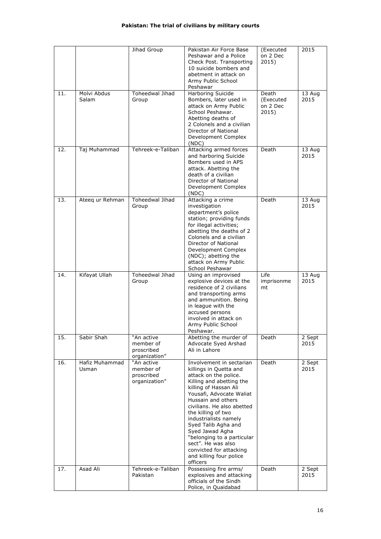## **Pakistan: The trial of civilians by military courts**

|     |                         | Jihad Group                                            | Pakistan Air Force Base<br>Peshawar and a Police<br>Check Post. Transporting<br>10 suicide bombers and<br>abetment in attack on<br>Army Public School<br>Peshawar                                                                                                                                                                                                                                                               | (Executed<br>on 2 Dec<br>2015)          | 2015           |
|-----|-------------------------|--------------------------------------------------------|---------------------------------------------------------------------------------------------------------------------------------------------------------------------------------------------------------------------------------------------------------------------------------------------------------------------------------------------------------------------------------------------------------------------------------|-----------------------------------------|----------------|
| 11. | Molvi Abdus<br>Salam    | <b>Toheedwal Jihad</b><br>Group                        | Harboring Suicide<br>Bombers, later used in<br>attack on Army Public<br>School Peshawar.<br>Abetting deaths of<br>2 Colonels and a civilian<br>Director of National<br>Development Complex<br>(NDC)                                                                                                                                                                                                                             | Death<br>(Executed<br>on 2 Dec<br>2015) | 13 Aug<br>2015 |
| 12. | Taj Muhammad            | Tehreek-e-Taliban                                      | Attacking armed forces<br>and harboring Suicide<br>Bombers used in APS<br>attack. Abetting the<br>death of a civilian<br>Director of National<br>Development Complex<br>( NDC)                                                                                                                                                                                                                                                  | Death                                   | 13 Aug<br>2015 |
| 13. | Ateeq ur Rehman         | Toheedwal Jihad<br>Group                               | Attacking a crime<br>investigation<br>department's police<br>station; providing funds<br>for illegal activities;<br>abetting the deaths of 2<br>Colonels and a civilian<br>Director of National<br>Development Complex<br>(NDC); abetting the<br>attack on Army Public<br>School Peshawar                                                                                                                                       | Death                                   | 13 Aug<br>2015 |
| 14. | Kifayat Ullah           | Toheedwal Jihad<br>Group                               | Using an improvised<br>explosive devices at the<br>residence of 2 civilians<br>and transporting arms<br>and ammunition. Being<br>in league with the<br>accused persons<br>involved in attack on<br>Army Public School<br>Peshawar.                                                                                                                                                                                              | Life<br>imprisonme<br>mt                | 13 Aug<br>2015 |
| 15. | Sabir Shah              | "An active<br>member of<br>proscribed<br>organization" | Abetting the murder of<br>Advocate Syed Arshad<br>Ali in Lahore                                                                                                                                                                                                                                                                                                                                                                 | Death                                   | 2 Sept<br>2015 |
| 16. | Hafiz Muhammad<br>Usman | "An active<br>member of<br>proscribed<br>organization" | Involvement in sectarian<br>killings in Quetta and<br>attack on the police.<br>Killing and abetting the<br>killing of Hassan Ali<br>Yousafi, Advocate Waliat<br>Hussain and others<br>civilians. He also abetted<br>the killing of two<br>industrialists namely<br>Syed Talib Agha and<br>Syed Jawad Agha<br>"belonging to a particular<br>sect". He was also<br>convicted for attacking<br>and killing four police<br>officers | Death                                   | 2 Sept<br>2015 |
| 17. | Asad Ali                | Tehreek-e-Taliban<br>Pakistan                          | Possessing fire arms/<br>explosives and attacking<br>officials of the Sindh<br>Police, in Quaidabad                                                                                                                                                                                                                                                                                                                             | Death                                   | 2 Sept<br>2015 |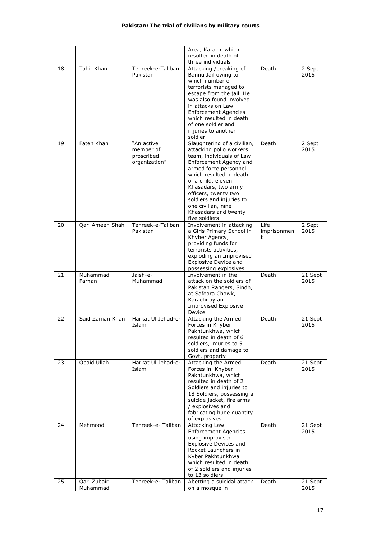### **Pakistan: The trial of civilians by military courts**

|     |                         |                                                        | Area, Karachi which<br>resulted in death of                                                                                                                                                                                                                                                                                      |                          |                             |
|-----|-------------------------|--------------------------------------------------------|----------------------------------------------------------------------------------------------------------------------------------------------------------------------------------------------------------------------------------------------------------------------------------------------------------------------------------|--------------------------|-----------------------------|
| 18. | Tahir Khan              | Tehreek-e-Taliban<br>Pakistan                          | three individuals<br>Attacking /breaking of<br>Bannu Jail owing to<br>which number of<br>terrorists managed to<br>escape from the jail. He<br>was also found involved<br>in attacks on Law<br><b>Enforcement Agencies</b><br>which resulted in death<br>of one soldier and<br>injuries to another<br>soldier                     | Death                    | 2 Sept<br>2015              |
| 19. | Fateh Khan              | "An active<br>member of<br>proscribed<br>organization" | Slaughtering of a civilian,<br>attacking polio workers<br>team, individuals of Law<br>Enforcement Agency and<br>armed force personnel<br>which resulted in death<br>of a child, eleven<br>Khasadars, two army<br>officers, twenty two<br>soldiers and injuries to<br>one civilian, nine<br>Khasadars and twenty<br>five soldiers | Death                    | 2 Sept<br>2015              |
| 20. | Qari Ameen Shah         | Tehreek-e-Taliban<br>Pakistan                          | Involvement in attacking<br>a Girls Primary School in<br>Khyber Agency,<br>providing funds for<br>terrorists activities,<br>exploding an Improvised<br><b>Explosive Device and</b><br>possessing explosives                                                                                                                      | Life<br>imprisonmen<br>t | $\overline{2}$ Sept<br>2015 |
| 21. | Muhammad<br>Farhan      | Jaish-e-<br>Muhammad                                   | Involvement in the<br>attack on the soldiers of<br>Pakistan Rangers, Sindh,<br>at Safoora Chowk,<br>Karachi by an<br>Improvised Explosive<br>Device                                                                                                                                                                              | Death                    | 21 Sept<br>2015             |
| 22. | Said Zaman Khan         | Harkat UI Jehad-e-<br>Islami                           | Attacking the Armed<br>Forces in Khyber<br>Pakhtunkhwa, which<br>resulted in death of 6<br>soldiers, injuries to 5<br>soldiers and damage to<br>Govt. property                                                                                                                                                                   | Death                    | 21 Sept<br>2015             |
| 23. | Obaid Ullah             | Harkat UI Jehad-e-<br>Islami                           | Attacking the Armed<br>Forces in Khyber<br>Pakhtunkhwa, which<br>resulted in death of 2<br>Soldiers and injuries to<br>18 Soldiers, possessing a<br>suicide jacket, fire arms<br>/ explosives and<br>fabricating huge quantity<br>of explosives                                                                                  | Death                    | 21 Sept<br>2015             |
| 24. | Mehmood                 | Tehreek-e-Taliban                                      | Attacking Law<br><b>Enforcement Agencies</b><br>using improvised<br><b>Explosive Devices and</b><br>Rocket Launchers in<br>Kyber Pakhtunkhwa<br>which resulted in death<br>of 2 soldiers and injuries<br>to 13 soldiers                                                                                                          | Death                    | 21 Sept<br>2015             |
| 25. | Qari Zubair<br>Muhammad | Tehreek-e- Taliban                                     | Abetting a suicidal attack<br>on a mosque in                                                                                                                                                                                                                                                                                     | Death                    | 21 Sept<br>2015             |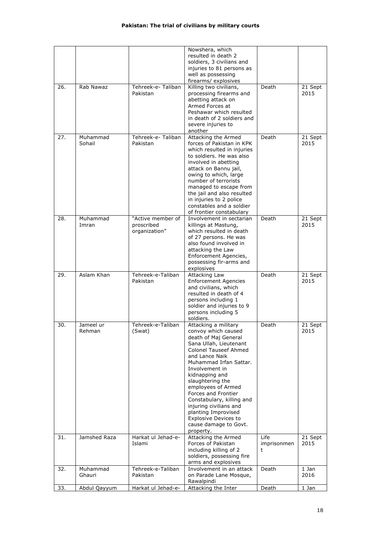|     |                    |                                | Nowshera, which                                       |             |                 |
|-----|--------------------|--------------------------------|-------------------------------------------------------|-------------|-----------------|
|     |                    |                                | resulted in death 2                                   |             |                 |
|     |                    |                                | soldiers, 3 civilians and                             |             |                 |
|     |                    |                                | injuries to 81 persons as                             |             |                 |
|     |                    |                                | well as possessing                                    |             |                 |
| 26. | Rab Nawaz          | Tehreek-e- Taliban             | firearms/ explosives<br>Killing two civilians,        | Death       | 21 Sept         |
|     |                    | Pakistan                       | processing firearms and                               |             | 2015            |
|     |                    |                                | abetting attack on                                    |             |                 |
|     |                    |                                | Armed Forces at                                       |             |                 |
|     |                    |                                | Peshawar which resulted                               |             |                 |
|     |                    |                                | in death of 2 soldiers and                            |             |                 |
|     |                    |                                | severe injuries to                                    |             |                 |
|     |                    |                                | another                                               |             |                 |
| 27. | Muhammad<br>Sohail | Tehreek-e- Taliban<br>Pakistan | Attacking the Armed<br>forces of Pakistan in KPK      | Death       | 21 Sept<br>2015 |
|     |                    |                                | which resulted in injuries                            |             |                 |
|     |                    |                                | to soldiers. He was also                              |             |                 |
|     |                    |                                | involved in abetting                                  |             |                 |
|     |                    |                                | attack on Bannu jail,                                 |             |                 |
|     |                    |                                | owing to which, large                                 |             |                 |
|     |                    |                                | number of terrorists                                  |             |                 |
|     |                    |                                | managed to escape from                                |             |                 |
|     |                    |                                | the jail and also resulted<br>in injuries to 2 police |             |                 |
|     |                    |                                | constables and a soldier                              |             |                 |
|     |                    |                                | of frontier constabulary                              |             |                 |
| 28. | Muhammad           | "Active member of              | Involvement in sectarian                              | Death       | 21 Sept         |
|     | Imran              | proscribed                     | killings at Mastung,                                  |             | 2015            |
|     |                    | organization"                  | which resulted in death                               |             |                 |
|     |                    |                                | of 27 persons. He was                                 |             |                 |
|     |                    |                                | also found involved in<br>attacking the Law           |             |                 |
|     |                    |                                | Enforcement Agencies,                                 |             |                 |
|     |                    |                                | possessing fir-arms and                               |             |                 |
|     |                    |                                | explosives                                            |             |                 |
| 29. | Aslam Khan         | Tehreek-e-Taliban              | Attacking Law                                         | Death       | 21 Sept         |
|     |                    | Pakistan                       | <b>Enforcement Agencies</b>                           |             | 2015            |
|     |                    |                                | and civilians, which                                  |             |                 |
|     |                    |                                | resulted in death of 4                                |             |                 |
|     |                    |                                |                                                       |             |                 |
|     |                    |                                | persons including 1                                   |             |                 |
|     |                    |                                | soldier and injuries to 9                             |             |                 |
|     |                    |                                | persons including 5<br>soldiers.                      |             |                 |
| 30. | Jameel ur          | Tehreek-e-Taliban              | Attacking a military                                  | Death       | 21 Sept         |
|     | Rehman             | (Swat)                         | convoy which caused                                   |             | 2015            |
|     |                    |                                | death of Maj General                                  |             |                 |
|     |                    |                                | Sana Ullah, Lieutenant                                |             |                 |
|     |                    |                                | <b>Colonel Tauseef Ahmed</b>                          |             |                 |
|     |                    |                                | and Lance Naik                                        |             |                 |
|     |                    |                                | Muhammad Irfan Sattar.<br>Involvement in              |             |                 |
|     |                    |                                | kidnapping and                                        |             |                 |
|     |                    |                                | slaughtering the                                      |             |                 |
|     |                    |                                | employees of Armed                                    |             |                 |
|     |                    |                                | Forces and Frontier                                   |             |                 |
|     |                    |                                | Constabulary, killing and                             |             |                 |
|     |                    |                                | injuring civilians and<br>planting Improvised         |             |                 |
|     |                    |                                | <b>Explosive Devices to</b>                           |             |                 |
|     |                    |                                | cause damage to Govt.                                 |             |                 |
|     |                    |                                | property.                                             |             |                 |
| 31. | Jamshed Raza       | Harkat ul Jehad-e-             | Attacking the Armed                                   | Life        | 21 Sept         |
|     |                    | Islami                         | Forces of Pakistan                                    | imprisonmen | 2015            |
|     |                    |                                | including killing of 2                                | t           |                 |
|     |                    |                                | soldiers, possessing fire<br>arms and explosives      |             |                 |
| 32. | Muhammad           | Tehreek-e-Taliban              | Involvement in an attack                              | Death       | 1 Jan           |
|     | Ghauri             | Pakistan                       | on Parade Lane Mosque,                                |             | 2016            |
| 33. | Abdul Qayyum       | Harkat ul Jehad-e-             | Rawalpindi<br>Attacking the Inter                     | Death       | 1 Jan           |